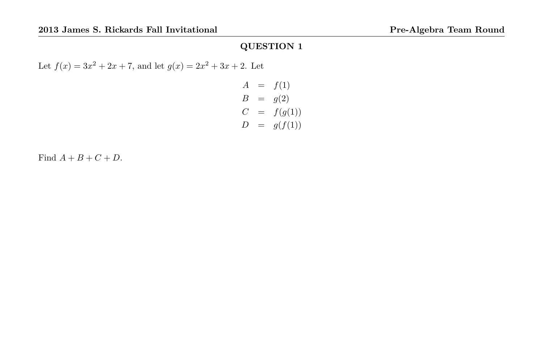Let  $f(x) = 3x^2 + 2x + 7$ , and let  $g(x) = 2x^2 + 3x + 2$ . Let

$$
A = f(1)
$$
  
\n
$$
B = g(2)
$$
  
\n
$$
C = f(g(1))
$$
  
\n
$$
D = g(f(1))
$$

Find  $A + B + C + D$ .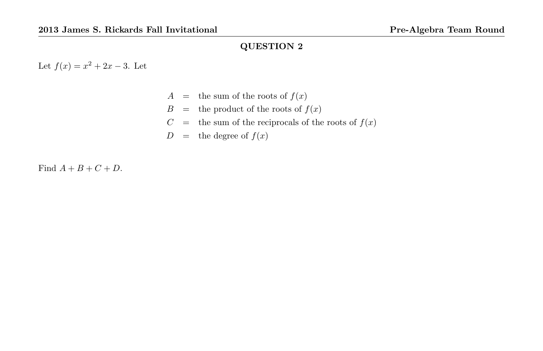Let  $f(x) = x^2 + 2x - 3$ . Let

- $A =$  the sum of the roots of  $f(x)$
- $B =$  the product of the roots of  $f(x)$
- $C =$  the sum of the reciprocals of the roots of  $f(x)$
- $D =$  the degree of  $f(x)$

Find  $A + B + C + D$ .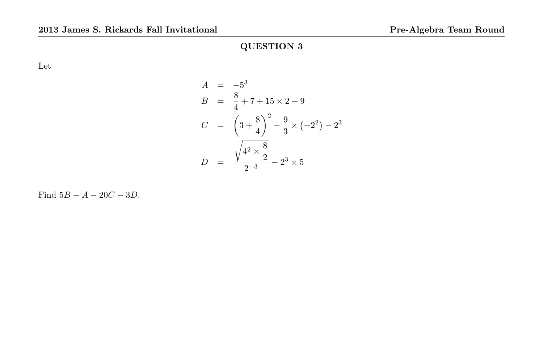Let

$$
A = -53
$$
  
\n
$$
B = \frac{8}{4} + 7 + 15 \times 2 - 9
$$
  
\n
$$
C = \left(3 + \frac{8}{4}\right)^{2} - \frac{9}{3} \times (-2^{2}) - 2^{3}
$$
  
\n
$$
D = \frac{\sqrt{4^{2} \times \frac{8}{2}}}{2^{-3}} - 2^{3} \times 5
$$

Find  $5B - A - 20C - 3D$ .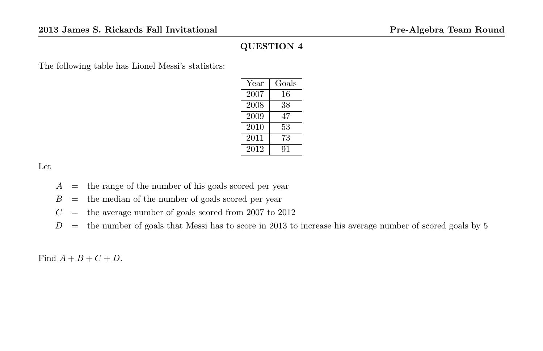The following table has Lionel Messi's statistics:

| Year | Goals |
|------|-------|
| 2007 | 16    |
| 2008 | 38    |
| 2009 | 47    |
| 2010 | 53    |
| 2011 | 73    |
| 2012 | 91    |

Let

- $A =$  the range of the number of his goals scored per year
- $B =$  the median of the number of goals scored per year
- $C =$  the average number of goals scored from 2007 to 2012
- $D =$  the number of goals that Messi has to score in 2013 to increase his average number of scored goals by 5

Find  $A + B + C + D$ .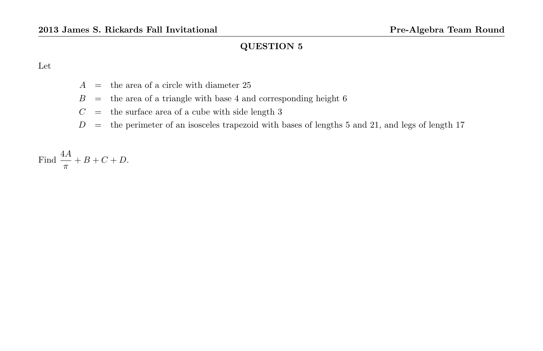Let

- $A =$  the area of a circle with diameter 25
- $B =$  the area of a triangle with base 4 and corresponding height 6
- $C =$  the surface area of a cube with side length 3
- $D =$  the perimeter of an isosceles trapezoid with bases of lengths 5 and 21, and legs of length 17

Find  $\frac{4A}{\pi} + B + C + D$ .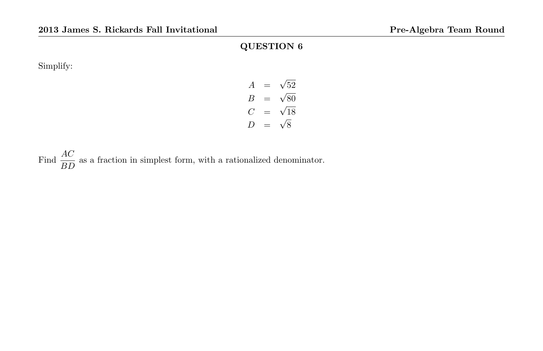Simplify:

$$
A = \sqrt{52}
$$
  
\n
$$
B = \sqrt{80}
$$
  
\n
$$
C = \sqrt{18}
$$
  
\n
$$
D = \sqrt{8}
$$

Find  $\frac{AC}{BD}$  as a fraction in simplest form, with a rationalized denominator.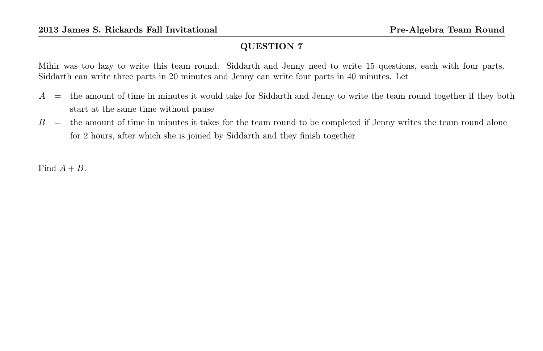Mihir was too lazy to write this team round. Siddarth and Jenny need to write 15 questions, each with four parts. Siddarth can write three parts in 20 minutes and Jenny can write four parts in 40 minutes. Let

- $A =$  the amount of time in minutes it would take for Siddarth and Jenny to write the team round together if they both start at the same time without pause
- $B =$  the amount of time in minutes it takes for the team round to be completed if Jenny writes the team round alone for 2 hours, after which she is joined by Siddarth and they finish together

Find  $A + B$ .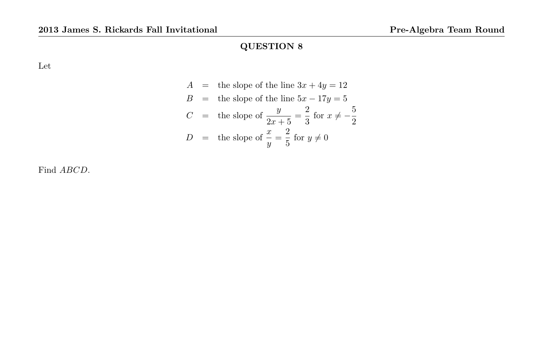Let

$$
A = \text{the slope of the line } 3x + 4y = 12
$$
  
\n
$$
B = \text{the slope of the line } 5x - 17y = 5
$$
  
\n
$$
C = \text{the slope of } \frac{y}{2x + 5} = \frac{2}{3} \text{ for } x \neq -\frac{5}{2}
$$
  
\n
$$
D = \text{the slope of } \frac{x}{y} = \frac{2}{5} \text{ for } y \neq 0
$$

Find ABCD.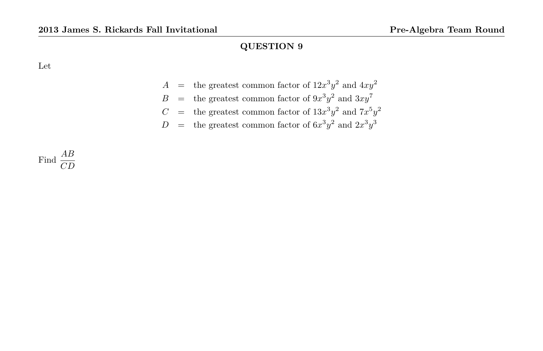Let

$$
A =
$$
 the greatest common factor of  $12x^3y^2$  and  $4xy^2$ 

$$
B =
$$
 the greatest common factor of  $9x^3y^2$  and  $3xy^7$ 

$$
C =
$$
 the greatest common factor of  $13x^3y^2$  and  $7x^5y^2$ 

$$
D
$$
 = the greatest common factor of  $6x^3y^2$  and  $2x^3y^3$ 

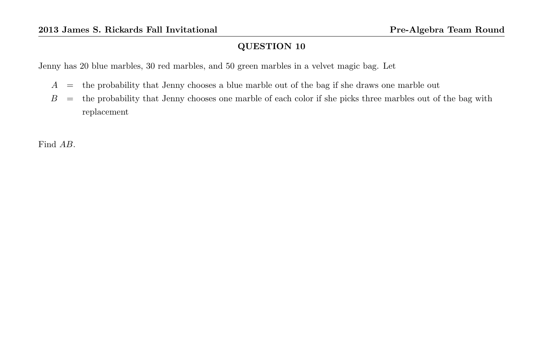Jenny has 20 blue marbles, 30 red marbles, and 50 green marbles in a velvet magic bag. Let

- $A =$  the probability that Jenny chooses a blue marble out of the bag if she draws one marble out
- B = the probability that Jenny chooses one marble of each color if she picks three marbles out of the bag with replacement

Find AB.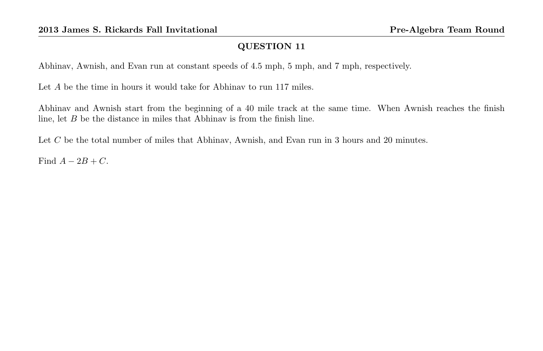Abhinav, Awnish, and Evan run at constant speeds of 4.5 mph, 5 mph, and 7 mph, respectively.

Let A be the time in hours it would take for Abhinav to run 117 miles.

Abhinav and Awnish start from the beginning of a 40 mile track at the same time. When Awnish reaches the finish line, let B be the distance in miles that Abhinav is from the finish line.

Let C be the total number of miles that Abhinav, Awnish, and Evan run in 3 hours and 20 minutes.

Find  $A - 2B + C$ .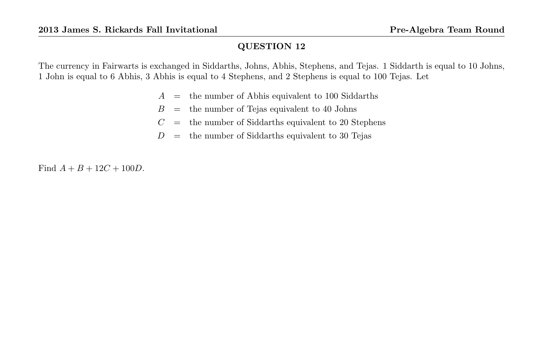The currency in Fairwarts is exchanged in Siddarths, Johns, Abhis, Stephens, and Tejas. 1 Siddarth is equal to 10 Johns, 1 John is equal to 6 Abhis, 3 Abhis is equal to 4 Stephens, and 2 Stephens is equal to 100 Tejas. Let

- $A =$  the number of Abhis equivalent to 100 Siddarths
- $B =$  the number of Tejas equivalent to 40 Johns
- $C =$  the number of Siddarths equivalent to 20 Stephens
- $D =$  the number of Siddarths equivalent to 30 Tejas

Find  $A + B + 12C + 100D$ .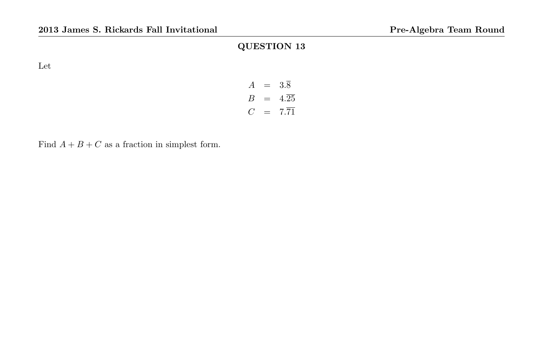Let

| $\overline{A}$            | $=$ | 3.8               |
|---------------------------|-----|-------------------|
| $\boldsymbol{\mathsf{B}}$ | $=$ | $4.\overline{25}$ |
| $\epsilon$                |     | $7.\overline{71}$ |

Find  $A + B + C$  as a fraction in simplest form.